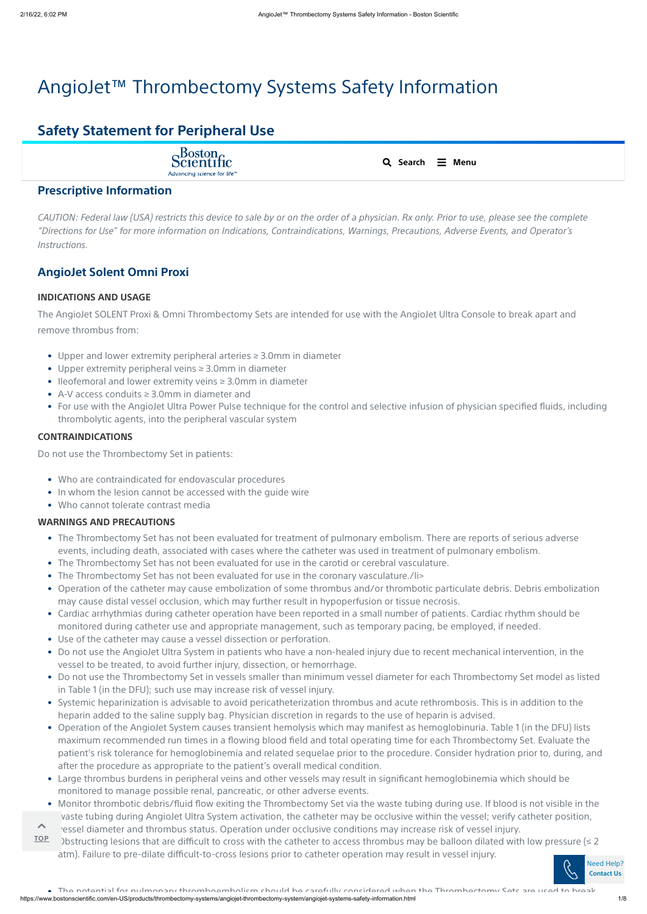# AngioJet™ Thrombectomy Systems Safety Information

# **Safety Statement for Peripheral Use**

Scientific Advancing science for life<sup>®</sup>

CAUTION: Federal law (USA) restricts this device to sale by or on the order of a physician. Rx only. Prior to use, please see the complete "Directions for Use" for more information on Indications, Contraindications, Warnings, Precautions, Adverse Events, and Operator's *Instructions.*

#### **INDICATIONS AND USAGE**

- Who are contraindicated for endovascular procedures
- In whom the lesion cannot be accessed with the guide wire
- Who cannot tolerate contrast media

The AngioJet SOLENT Proxi & Omni Thrombectomy Sets are intended for use with the AngioJet Ultra Console to break apart and remove thrombus from:

#### **CONTRAINDICATIONS**

Do not use the Thrombectomy Set in patients:

#### **WARNINGS AND PRECAUTIONS**

# **Prescriptive Information**

# **AngioJet Solent Omni Proxi**

- Upper and lower extremity peripheral arteries ≥ 3.0mm in diameter
- Upper extremity peripheral veins ≥ 3.0mm in diameter
- Ileofemoral and lower extremity veins ≥ 3.0mm in diameter
- A-V access conduits ≥ 3.0mm in diameter and
- For use with the AngioJet Ultra Power Pulse technique for the control and selective infusion of physician specified fluids, including thrombolytic agents, into the peripheral vascular system

https://www.bostonscientific.com/en-US/products/thrombectomy-systems/angiojet-thrombectomy-system/angiojet-systems-safety-information.html 1/8 • The potential for pulmonary thromboembolism should be carefully considered when the Thrombectomy Sets are used to break

- The Thrombectomy Set has not been evaluated for treatment of pulmonary embolism. There are reports of serious adverse events, including death, associated with cases where the catheter was used in treatment of pulmonary embolism.
- The Thrombectomy Set has not been evaluated for use in the carotid or cerebral vasculature.
- The Thrombectomy Set has not been evaluated for use in the coronary vasculature./li>
- Operation of the catheter may cause embolization of some thrombus and/or thrombotic particulate debris. Debris embolization may cause distal vessel occlusion, which may further result in hypoperfusion or tissue necrosis.
- Cardiac arrhythmias during catheter operation have been reported in a small number of patients. Cardiac rhythm should be monitored during catheter use and appropriate management, such as temporary pacing, be employed, if needed.
- Use of the catheter may cause a vessel dissection or perforation.
- Do not use the AngioJet Ultra System in patients who have a non-healed injury due to recent mechanical intervention, in the vessel to be treated, to avoid further injury, dissection, or hemorrhage.
- Do not use the Thrombectomy Set in vessels smaller than minimum vessel diameter for each Thrombectomy Set model as listed in Table 1 (in the DFU); such use may increase risk of vessel injury.
- 
- Systemic heparinization is advisable to avoid pericatheterization thrombus and acute rethrombosis. This is in addition to the heparin added to the saline supply bag. Physician discretion in regards to the use of heparin is advised.
- Operation of the AngioJet System causes transient hemolysis which may manifest as hemoglobinuria. Table 1 (in the DFU) lists maximum recommended run times in a flowing blood field and total operating time for each Thrombectomy Set. Evaluate the patient's risk tolerance for hemoglobinemia and related sequelae prior to the procedure. Consider hydration prior to, during, and after the procedure as appropriate to the patient's overall medical condition.
- Large thrombus burdens in peripheral veins and other vessels may result in significant hemoglobinemia which should be monitored to manage possible renal, pancreatic, or other adverse events.
- Monitor thrombotic debris/fluid flow exiting the Thrombectomy Set via the waste tubing during use. If blood is not visible in the waste tubing during AngioJet Ultra System activation, the catheter may be occlusive within the vessel; verify catheter position,
- vessel diameter and thrombus status. Operation under occlusive conditions may increase risk of vessel injury.  $\blacktriangle$
- Dostructing lesions that are difficult to cross with the catheter to access thrombus may be balloon dilated with low pressure  $(\leq 2$ atm). Failure to pre-dilate difficult-to-cross lesions prior to catheter operation may result in vessel injury. • **TOP**



| <b>Search</b> | Menu |
|---------------|------|
|               |      |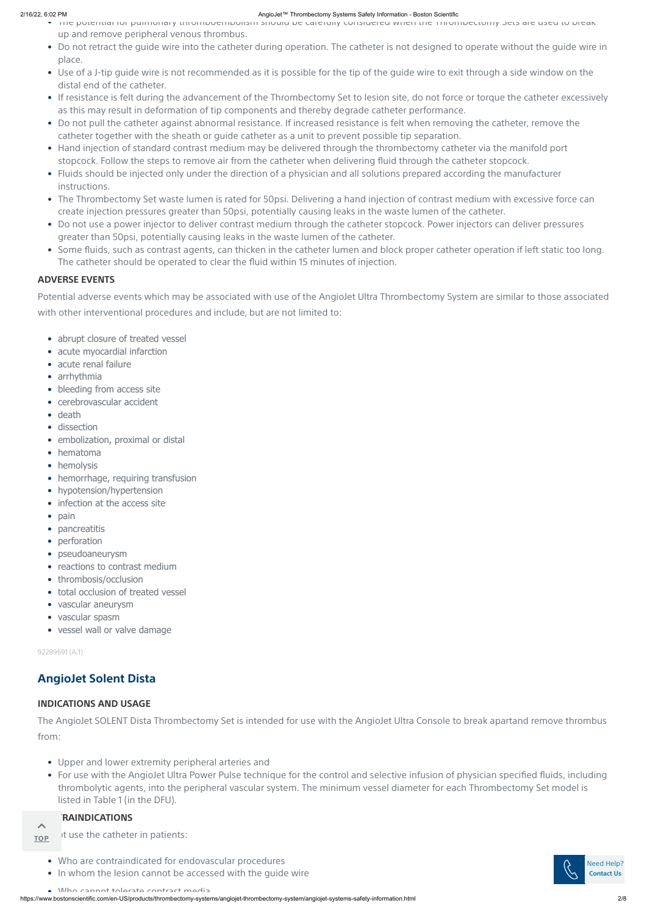https://www.bostonscientific.com/en-US/products/thrombectomy-systems/angiojet-thrombectomy-system/angiojet-systems-safety-information.html 2/8

### **ADVERSE EVENTS**

Potential adverse events which may be associated with use of the AngioJet Ultra Thrombectomy System are similar to those associated with other interventional procedures and include, but are not limited to:

92289691 (A.1)

#### **INDICATIONS AND USAGE**

The AngioJet SOLENT Dista Thrombectomy Set is intended for use with the AngioJet Ultra Console to break apartand remove thrombus from:

- of the potential for pullmonary thromboembolism should be carefully considered when the Thrombectomy Sets are used to break up and remove peripheral venous thrombus.
- Do not retract the guide wire into the catheter during operation. The catheter is not designed to operate without the guide wire in place.
- Use of a J-tip guide wire is not recommended as it is possible for the tip of the guide wire to exit through a side window on the distal end of the catheter.
- If resistance is felt during the advancement of the Thrombectomy Set to lesion site, do not force or torque the catheter excessively as this may result in deformation of tip components and thereby degrade catheter performance.
- Do not pull the catheter against abnormal resistance. If increased resistance is felt when removing the catheter, remove the catheter together with the sheath or guide catheter as a unit to prevent possible tip separation.
- Hand injection of standard contrast medium may be delivered through the thrombectomy catheter via the manifold port stopcock. Follow the steps to remove air from the catheter when delivering fluid through the catheter stopcock.
- Fluids should be injected only under the direction of a physician and all solutions prepared according the manufacturer instructions.
- The Thrombectomy Set waste lumen is rated for 50psi. Delivering a hand injection of contrast medium with excessive force can create injection pressures greater than 50psi, potentially causing leaks in the waste lumen of the catheter.
- Do not use a power injector to deliver contrast medium through the catheter stopcock. Power injectors can deliver pressures greater than 50psi, potentially causing leaks in the waste lumen of the catheter.
- Some fluids, such as contrast agents, can thicken in the catheter lumen and block proper catheter operation if left static too long. The catheter should be operated to clear the fluid within 15 minutes of injection.

- abrupt closure of treated vessel
- acute myocardial infarction
- acute renal failure
- arrhythmia
- bleeding from access site
- cerebrovascular accident
- death
- dissection
- embolization, proximal or distal
- hematoma
- hemolysis
- hemorrhage, requiring transfusion
- hypotension/hypertension
- infection at the access site
- pain
- pancreatitis
- perforation
- pseudoaneurysm
- reactions to contrast medium
- thrombosis/occlusion
- total occlusion of treated vessel
- vascular aneurysm
- vascular spasm
- vessel wall or valve damage

It use the catheter in patients: **TOP**

# **AngioJet Solent Dista**

- Upper and lower extremity peripheral arteries and
- For use with the AngioJet Ultra Power Pulse technique for the control and selective infusion of physician specified fluids, including thrombolytic agents, into the peripheral vascular system. The minimum vessel diameter for each Thrombectomy Set model is listed in Table 1 (in the DFU).

#### **RAINDICATIONS**

#### $\curvearrowright$

- Who are contraindicated for endovascular procedures
- In whom the lesion cannot be accessed with the guide wire
- Who cannot tolerate contrast media

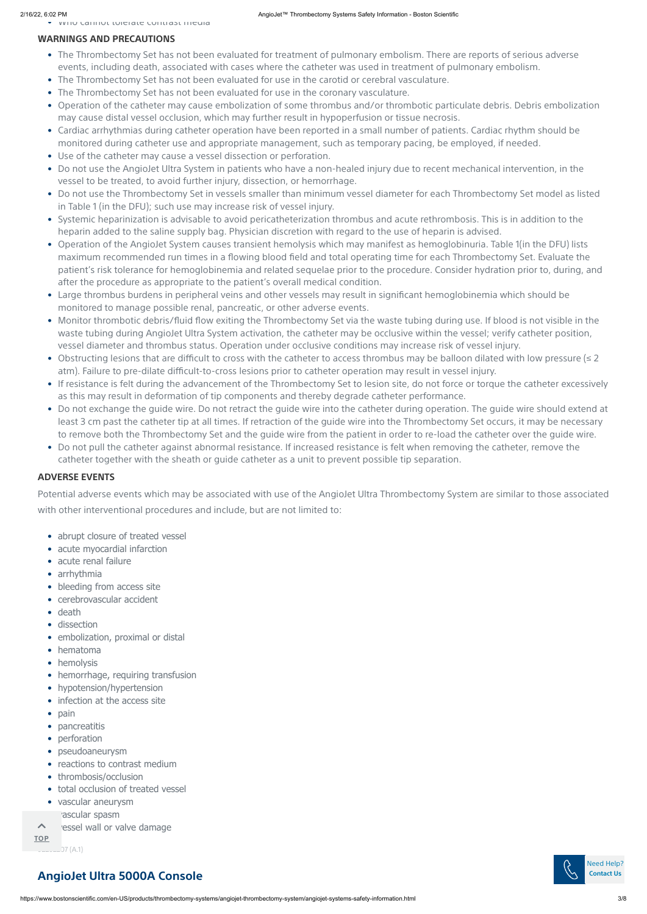# **WARNINGS AND PRECAUTIONS**

### **ADVERSE EVENTS**

Potential adverse events which may be associated with use of the AngioJet Ultra Thrombectomy System are similar to those associated with other interventional procedures and include, but are not limited to:

• Who cannot tolerate contrast media

- abrupt closure of treated vessel
- acute myocardial infarction
- acute renal failure
- arrhythmia
- bleeding from access site
- cerebrovascular accident
- death
- dissection
- embolization, proximal or distal
- hematoma
- hemolysis
- hemorrhage, requiring transfusion
- hypotension/hypertension
- 
- infection at the access site
- pain
- pancreatitis
- perforation
- pseudoaneurysm
- reactions to contrast medium
- thrombosis/occlusion
- total occlusion of treated vessel
- vascular aneurysm

rascular spasm

ressel wall or valve damage  $\blacktriangle$ 

- The Thrombectomy Set has not been evaluated for treatment of pulmonary embolism. There are reports of serious adverse events, including death, associated with cases where the catheter was used in treatment of pulmonary embolism.
- The Thrombectomy Set has not been evaluated for use in the carotid or cerebral vasculature.
- The Thrombectomy Set has not been evaluated for use in the coronary vasculature.
- Operation of the catheter may cause embolization of some thrombus and/or thrombotic particulate debris. Debris embolization may cause distal vessel occlusion, which may further result in hypoperfusion or tissue necrosis.
- Cardiac arrhythmias during catheter operation have been reported in a small number of patients. Cardiac rhythm should be monitored during catheter use and appropriate management, such as temporary pacing, be employed, if needed.
- Use of the catheter may cause a vessel dissection or perforation.
- Do not use the AngioJet Ultra System in patients who have a non-healed injury due to recent mechanical intervention, in the vessel to be treated, to avoid further injury, dissection, or hemorrhage.
- Do not use the Thrombectomy Set in vessels smaller than minimum vessel diameter for each Thrombectomy Set model as listed in Table 1 (in the DFU); such use may increase risk of vessel injury.
- Systemic heparinization is advisable to avoid pericatheterization thrombus and acute rethrombosis. This is in addition to the heparin added to the saline supply bag. Physician discretion with regard to the use of heparin is advised.
- Operation of the AngioJet System causes transient hemolysis which may manifest as hemoglobinuria. Table 1(in the DFU) lists maximum recommended run times in a flowing blood field and total operating time for each Thrombectomy Set. Evaluate the patient's risk tolerance for hemoglobinemia and related sequelae prior to the procedure. Consider hydration prior to, during, and after the procedure as appropriate to the patient's overall medical condition.
- Large thrombus burdens in peripheral veins and other vessels may result in significant hemoglobinemia which should be monitored to manage possible renal, pancreatic, or other adverse events.
- Monitor thrombotic debris/fluid flow exiting the Thrombectomy Set via the waste tubing during use. If blood is not visible in the waste tubing during AngioJet Ultra System activation, the catheter may be occlusive within the vessel; verify catheter position, vessel diameter and thrombus status. Operation under occlusive conditions may increase risk of vessel injury.
- Obstructing lesions that are difficult to cross with the catheter to access thrombus may be balloon dilated with low pressure (≤ 2 atm). Failure to pre-dilate difficult-to-cross lesions prior to catheter operation may result in vessel injury.
- If resistance is felt during the advancement of the Thrombectomy Set to lesion site, do not force or torque the catheter excessively as this may result in deformation of tip components and thereby degrade catheter performance.
- Do not exchange the guide wire. Do not retract the guide wire into the catheter during operation. The guide wire should extend at least 3 cm past the catheter tip at all times. If retraction of the guide wire into the Thrombectomy Set occurs, it may be necessary to remove both the Thrombectomy Set and the guide wire from the patient in order to re-load the catheter over the guide wire.
- Do not pull the catheter against abnormal resistance. If increased resistance is felt when removing the catheter, remove the catheter together with the sheath or guide catheter as a unit to prevent possible tip separation.

# **AngioJet Ultra 5000A Console**



**TOP**

 $.97(A.1)$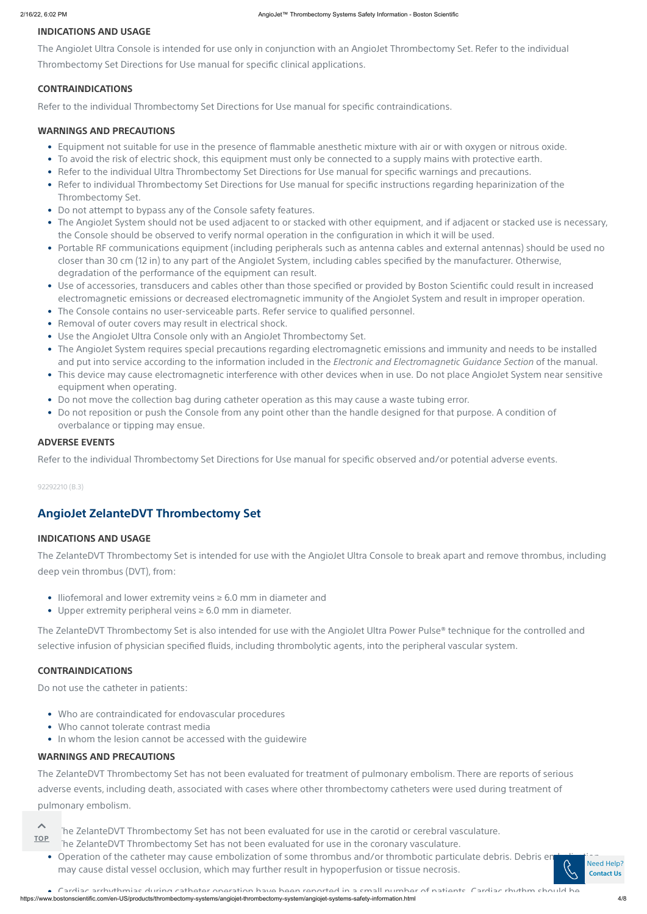#### **INDICATIONS AND USAGE**

The AngioJet Ultra Console is intended for use only in conjunction with an AngioJet Thrombectomy Set. Refer to the individual Thrombectomy Set Directions for Use manual for specific clinical applications.

#### **CONTRAINDICATIONS**

Refer to the individual Thrombectomy Set Directions for Use manual for specific contraindications.

#### **WARNINGS AND PRECAUTIONS**

#### **ADVERSE EVENTS**

Refer to the individual Thrombectomy Set Directions for Use manual for specific observed and/or potential adverse events.

#### 92292210 (B.3)

#### **INDICATIONS AND USAGE**

The ZelanteDVT Thrombectomy Set is intended for use with the AngioJet Ultra Console to break apart and remove thrombus, including deep vein thrombus (DVT), from:

The ZelanteDVT Thrombectomy Set is also intended for use with the AngioJet Ultra Power Pulse**®** technique for the controlled and selective infusion of physician specified fluids, including thrombolytic agents, into the peripheral vascular system.

#### **CONTRAINDICATIONS**

Do not use the catheter in patients:

#### **WARNINGS AND PRECAUTIONS**

The ZelanteDVT Thrombectomy Set has not been evaluated for treatment of pulmonary embolism. There are reports of serious adverse events, including death, associated with cases where other thrombectomy catheters were used during treatment of pulmonary embolism.

• Operation of the catheter may cause e[mbolization](https://www.bostonscientific.com/en-US/customer-service.html) of some thrombus and/or thrombotic particulate debris. Debris embolization may cause distal vessel occlusion, which may further result in hypoperfusion or tissue necrosis. Need Help? **Contact Us**

 $\triangle$ **TOP**

The ZelanteDVT Thrombectomy Set has not been evaluated for use in the carotid or cerebral vasculature. The ZelanteDVT Thrombectomy Set has not been evaluated for use in the coronary vasculature.

https://www.bostonscientific.com/en-US/products/thrombectomy-systems/angiojet-thrombectomy-system/angiojet-systems-safety-information.html 4/8 • Cardiac arrhythmias during catheter operation have been reported in a small number of patients Cardiac rhythm should be

- Equipment not suitable for use in the presence of flammable anesthetic mixture with air or with oxygen or nitrous oxide.
- To avoid the risk of electric shock, this equipment must only be connected to a supply mains with protective earth.
- Refer to the individual Ultra Thrombectomy Set Directions for Use manual for specific warnings and precautions.
- Refer to individual Thrombectomy Set Directions for Use manual for specific instructions regarding heparinization of the Thrombectomy Set.
- Do not attempt to bypass any of the Console safety features.
- The AngioJet System should not be used adjacent to or stacked with other equipment, and if adjacent or stacked use is necessary, the Console should be observed to verify normal operation in the configuration in which it will be used.
- Portable RF communications equipment (including peripherals such as antenna cables and external antennas) should be used no closer than 30 cm (12 in) to any part of the AngioJet System, including cables specified by the manufacturer. Otherwise, degradation of the performance of the equipment can result.
- Use of accessories, transducers and cables other than those specified or provided by Boston Scientific could result in increased electromagnetic emissions or decreased electromagnetic immunity of the AngioJet System and result in improper operation.
- The Console contains no user-serviceable parts. Refer service to qualified personnel.
- Removal of outer covers may result in electrical shock.
- Use the AngioJet Ultra Console only with an AngioJet Thrombectomy Set.
- The AngioJet System requires special precautions regarding electromagnetic emissions and immunity and needs to be installed and put into service according to the information included in the *Electronic and Electromagnetic Guidance Section* of the manual.
- This device may cause electromagnetic interference with other devices when in use. Do not place AngioJet System near sensitive equipment when operating.
- Do not move the collection bag during catheter operation as this may cause a waste tubing error.
- Do not reposition or push the Console from any point other than the handle designed for that purpose. A condition of overbalance or tipping may ensue.

### **AngioJet ZelanteDVT Thrombectomy Set**

- Iliofemoral and lower extremity veins ≥ 6.0 mm in diameter and
- Upper extremity peripheral veins ≥ 6.0 mm in diameter.

- Who are contraindicated for endovascular procedures
- Who cannot tolerate contrast media
- In whom the lesion cannot be accessed with the guidewire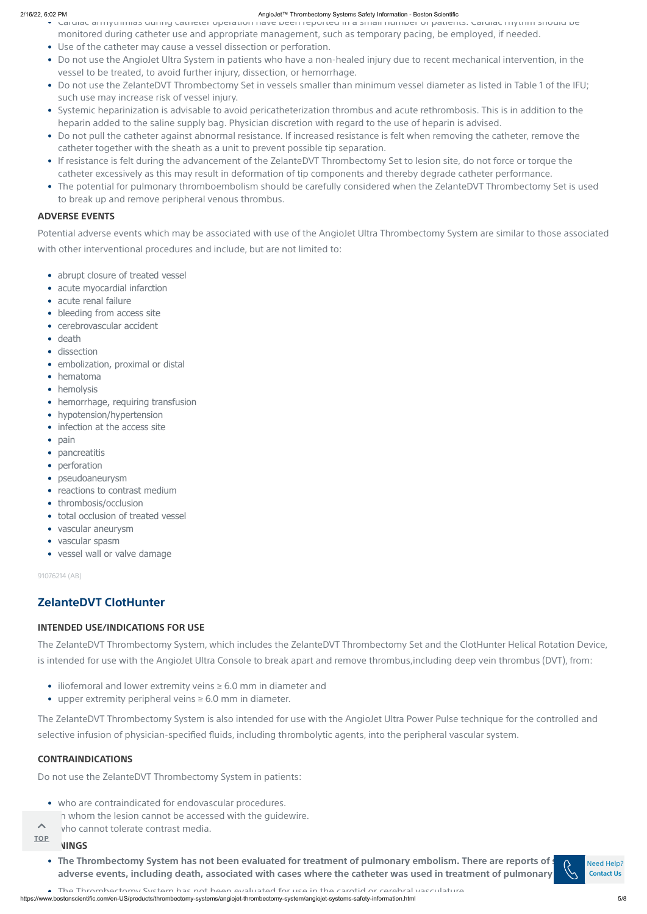#### **ADVERSE EVENTS**

Potential adverse events which may be associated with use of the AngioJet Ultra Thrombectomy System are similar to those associated with other interventional procedures and include, but are not limited to:

91076214 (AB)

### **INTENDED USE/INDICATIONS FOR USE**

The ZelanteDVT Thrombectomy System, which includes the ZelanteDVT Thrombectomy Set and the ClotHunter Helical Rotation Device, is intended for use with the AngioJet Ultra Console to break apart and remove thrombus,including deep vein thrombus (DVT), from:

The ZelanteDVT Thrombectomy System is also intended for use with the AngioJet Ultra Power Pulse technique for the controlled and selective infusion of physician-specified fluids, including thrombolytic agents, into the peripheral vascular system.

#### **CONTRAINDICATIONS**

Do not use the ZelanteDVT Thrombectomy System in patients:

- Caruiac arrhythmias during catheter operation have been reported in a small number or patients. Caruiac rhythm should be
- monitored during catheter use and appropriate management, such as temporary pacing, be employed, if needed.
- Use of the catheter may cause a vessel dissection or perforation.
- Do not use the AngioJet Ultra System in patients who have a non-healed injury due to recent mechanical intervention, in the vessel to be treated, to avoid further injury, dissection, or hemorrhage.
- Do not use the ZelanteDVT Thrombectomy Set in vessels smaller than minimum vessel diameter as listed in Table 1 of the IFU; such use may increase risk of vessel injury.
- Systemic heparinization is advisable to avoid pericatheterization thrombus and acute rethrombosis. This is in addition to the heparin added to the saline supply bag. Physician discretion with regard to the use of heparin is advised.
- Do not pull the catheter against abnormal resistance. If increased resistance is felt when removing the catheter, remove the catheter together with the sheath as a unit to prevent possible tip separation.
- If resistance is felt during the advancement of the ZelanteDVT Thrombectomy Set to lesion site, do not force or torque the catheter excessively as this may result in deformation of tip components and thereby degrade catheter performance.
- The potential for pulmonary thromboembolism should be carefully considered when the ZelanteDVT Thrombectomy Set is used to break up and remove peripheral venous thrombus.

- abrupt closure of treated vessel
- acute myocardial infarction
- acute renal failure
- bleeding from access site
- cerebrovascular accident
- death
- dissection
- embolization, proximal or distal
- hematoma
- hemolysis
- hemorrhage, requiring transfusion
- hypotension/hypertension
- infection at the access site
- pain
- pancreatitis
- perforation
- pseudoaneurysm
- reactions to contrast medium
- thrombosis/occlusion
- total occlusion of treated vessel
- vascular aneurysm
- vascular spasm
- vessel wall or valve damage

- who are contraindicated for endovascular procedures.
	- h whom the lesion cannot be accessed with the guidewire.
- who cannot tolerate contrast media.  $\blacktriangle$

#### **WINGS TOP**

• The Thrombectomy System has not been evaluated for treatment of pulmonary embolism. There are reports of  $\sim$ adverse events, including death, associated with cases where the catheter was used in treatment of pulmonary



# **ZelanteDVT ClotHunter**

- iliofemoral and lower extremity veins ≥ 6.0 mm in diameter and
- 
- upper extremity peripheral veins ≥ 6.0 mm in diameter.

Need Help? **Contact Us**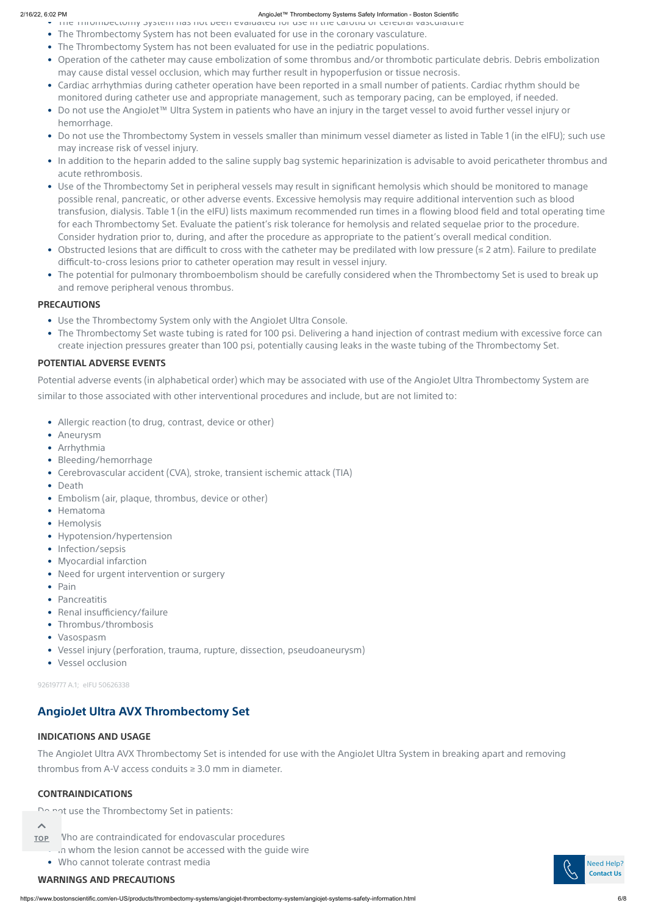#### **PRECAUTIONS**

#### **POTENTIAL ADVERSE EVENTS**

Potential adverse events (in alphabetical order) which may be associated with use of the AngioJet Ultra Thrombectomy System are similar to those associated with other interventional procedures and include, but are not limited to:

#### **INDICATIONS AND USAGE**

The AngioJet Ultra AVX Thrombectomy Set is intended for use with the AngioJet Ultra System in breaking apart and removing thrombus from A-V access conduits ≥ 3.0 mm in diameter.

#### **CONTRAINDICATIONS**

Do not use the Thrombectomy Set in patients:

#### $\blacktriangle$

#### **WARNINGS AND PRECAUTIONS**

• The Thrombectomy System has not been evaluated for use in the carotid or cerebral vasculature

- Allergic reaction (to drug, contrast, device or other)
- Aneurysm
- Arrhythmia
- Bleeding/hemorrhage
- Cerebrovascular accident (CVA), stroke, transient ischemic attack (TIA)
- Death
- Embolism (air, plaque, thrombus, device or other)
- Hematoma
- Hemolysis
- Hypotension/hypertension
- Infection/sepsis
- Myocardial infarction
- Need for urgent intervention or surgery
- Pain
- Pancreatitis
- Renal insufficiency/failure
- Thrombus/thrombosis
- Vasospasm
- Vessel injury (perforation, trauma, rupture, dissection, pseudoaneurysm)
- Vessel occlusion
- The Thrombectomy System has not been evaluated for use in the coronary vasculature.
- The Thrombectomy System has not been evaluated for use in the pediatric populations.
- Operation of the catheter may cause embolization of some thrombus and/or thrombotic particulate debris. Debris embolization may cause distal vessel occlusion, which may further result in hypoperfusion or tissue necrosis.
- Cardiac arrhythmias during catheter operation have been reported in a small number of patients. Cardiac rhythm should be monitored during catheter use and appropriate management, such as temporary pacing, can be employed, if needed.
- Do not use the AngioJet™ Ultra System in patients who have an injury in the target vessel to avoid further vessel injury or hemorrhage.
- Do not use the Thrombectomy System in vessels smaller than minimum vessel diameter as listed in Table 1 (in the eIFU); such use may increase risk of vessel injury.
- In addition to the heparin added to the saline supply bag systemic heparinization is advisable to avoid pericatheter thrombus and acute rethrombosis.
- Use of the Thrombectomy Set in peripheral vessels may result in significant hemolysis which should be monitored to manage possible renal, pancreatic, or other adverse events. Excessive hemolysis may require additional intervention such as blood transfusion, dialysis. Table 1 (in the eIFU) lists maximum recommended run times in a flowing blood field and total operating time for each Thrombectomy Set. Evaluate the patient's risk tolerance for hemolysis and related sequelae prior to the procedure. Consider hydration prior to, during, and after the procedure as appropriate to the patient's overall medical condition.
- Obstructed lesions that are difficult to cross with the catheter may be predilated with low pressure (≤ 2 atm). Failure to predilate difficult-to-cross lesions prior to catheter operation may result in vessel injury.
- The potential for pulmonary thromboembolism should be carefully considered when the Thrombectomy Set is used to break up and remove peripheral venous thrombus.

- Who are contraindicated for endovascular procedures • In whom the lesion cannot be accessed with the guide wire **TOP**
	- Who cannot tolerate contrast media  $\bullet$  Need Help?
- Use the Thrombectomy System only with the AngioJet Ultra Console.
- The Thrombectomy Set waste tubing is rated for 100 psi. Delivering a hand injection of contrast medium with excessive force can create injection pressures greater than 100 psi, potentially causing leaks in the waste tubing of the Thrombectomy Set.

# **AngioJet Ultra AVX Thrombectomy Set**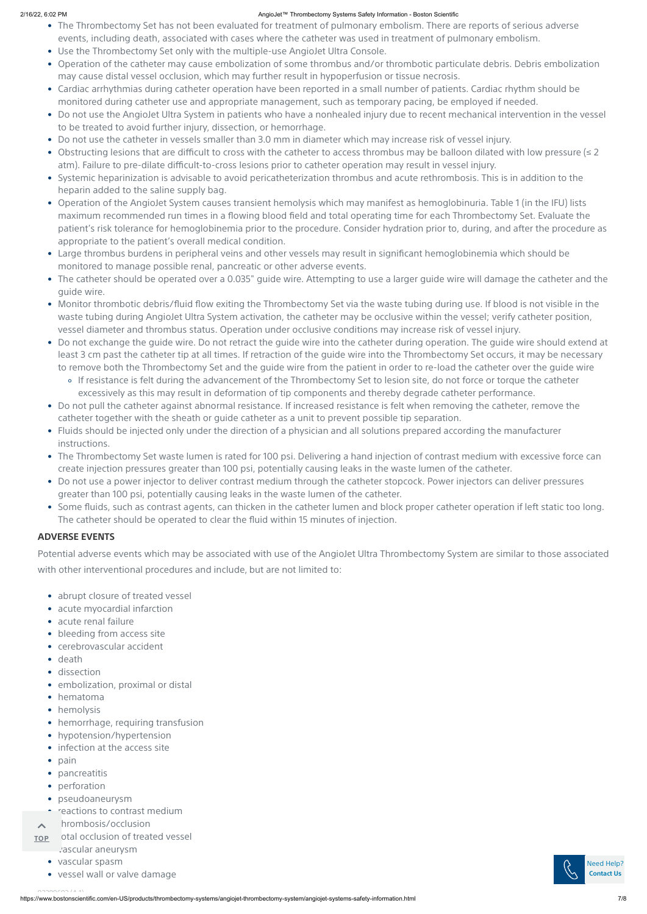https://www.bostonscientific.com/en-US/products/thrombectomy-systems/angiojet-thrombectomy-system/angiojet-systems-safety-information.html 7/8

# **ADVERSE EVENTS**

Potential adverse events which may be associated with use of the AngioJet Ultra Thrombectomy System are similar to those associated with other interventional procedures and include, but are not limited to:

- The Thrombectomy Set has not been evaluated for treatment of pulmonary embolism. There are reports of serious adverse events, including death, associated with cases where the catheter was used in treatment of pulmonary embolism.
- Use the Thrombectomy Set only with the multiple-use AngioJet Ultra Console.
- Operation of the catheter may cause embolization of some thrombus and/or thrombotic particulate debris. Debris embolization may cause distal vessel occlusion, which may further result in hypoperfusion or tissue necrosis.
- Cardiac arrhythmias during catheter operation have been reported in a small number of patients. Cardiac rhythm should be monitored during catheter use and appropriate management, such as temporary pacing, be employed if needed.
- Do not use the AngioJet Ultra System in patients who have a nonhealed injury due to recent mechanical intervention in the vessel to be treated to avoid further injury, dissection, or hemorrhage.
- Do not use the catheter in vessels smaller than 3.0 mm in diameter which may increase risk of vessel injury.
- Obstructing lesions that are difficult to cross with the catheter to access thrombus may be balloon dilated with low pressure (≤ 2 atm). Failure to pre-dilate difficult-to-cross lesions prior to catheter operation may result in vessel injury.
- Systemic heparinization is advisable to avoid pericatheterization thrombus and acute rethrombosis. This is in addition to the heparin added to the saline supply bag.
- Operation of the AngioJet System causes transient hemolysis which may manifest as hemoglobinuria. Table 1 (in the IFU) lists maximum recommended run times in a flowing blood field and total operating time for each Thrombectomy Set. Evaluate the patient's risk tolerance for hemoglobinemia prior to the procedure. Consider hydration prior to, during, and after the procedure as appropriate to the patient's overall medical condition.
- Large thrombus burdens in peripheral veins and other vessels may result in significant hemoglobinemia which should be monitored to manage possible renal, pancreatic or other adverse events.
- The catheter should be operated over a 0.035" guide wire. Attempting to use a larger guide wire will damage the catheter and the guide wire.
- Monitor thrombotic debris/fluid flow exiting the Thrombectomy Set via the waste tubing during use. If blood is not visible in the waste tubing during AngioJet Ultra System activation, the catheter may be occlusive within the vessel; verify catheter position, vessel diameter and thrombus status. Operation under occlusive conditions may increase risk of vessel injury.
- Do not exchange the guide wire. Do not retract the guide wire into the catheter during operation. The guide wire should extend at least 3 cm past the catheter tip at all times. If retraction of the guide wire into the Thrombectomy Set occurs, it may be necessary to remove both the Thrombectomy Set and the guide wire from the patient in order to re-load the catheter over the guide wire
	- If resistance is felt during the advancement of the Thrombectomy Set to lesion site, do not force or torque the catheter excessively as this may result in deformation of tip components and thereby degrade catheter performance.
- Do not pull the catheter against abnormal resistance. If increased resistance is felt when removing the catheter, remove the catheter together with the sheath or guide catheter as a unit to prevent possible tip separation.
- Fluids should be injected only under the direction of a physician and all solutions prepared according the manufacturer instructions.
- The Thrombectomy Set waste lumen is rated for 100 psi. Delivering a hand injection of contrast medium with excessive force can create injection pressures greater than 100 psi, potentially causing leaks in the waste lumen of the catheter.
- Do not use a power injector to deliver contrast medium through the catheter stopcock. Power injectors can deliver pressures greater than 100 psi, potentially causing leaks in the waste lumen of the catheter.
- Some fluids, such as contrast agents, can thicken in the catheter lumen and block proper catheter operation if left static too long. The catheter should be operated to clear the fluid within 15 minutes of injection.

- abrupt closure of treated vessel
- acute myocardial infarction
- acute renal failure
- bleeding from access site
- cerebrovascular accident
- death
- dissection
- embolization, proximal or distal
- hematoma
- hemolysis
- hemorrhage, requiring transfusion
- hypotension/hypertension
- infection at the access site
- pain
- pancreatitis
- perforation
- pseudoaneurysm
- reactions to contrast medium
- hrombosis/occlusion  $\overline{\phantom{a}}$
- otal occlusion of treated vessel • vascular aneurysm **TOP**
	- vascular spasm
	- vessel wall or valve damage

#### 02200*c*02/11